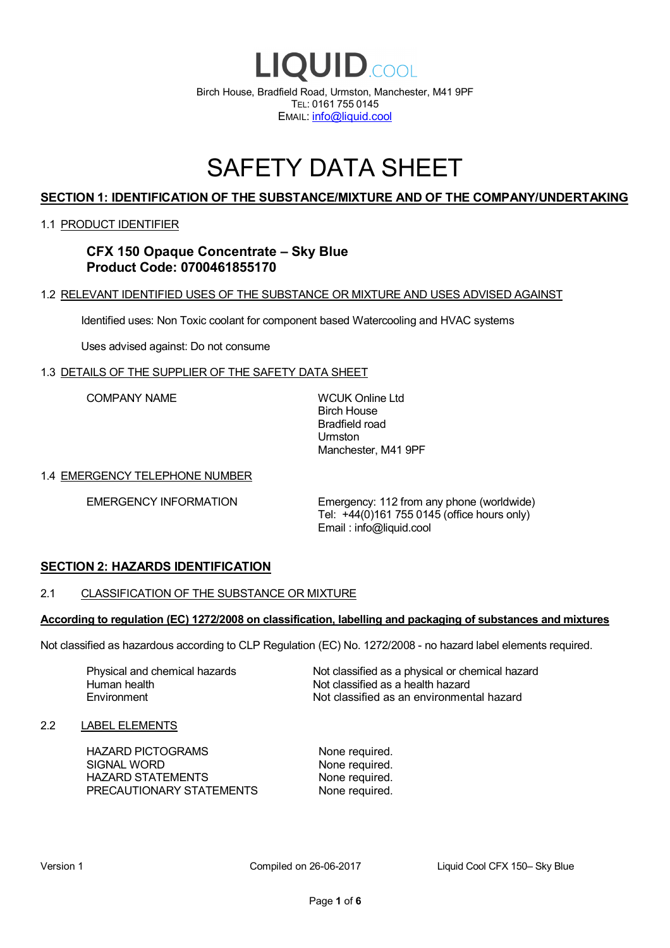

# SAFETY DATA SHEET

# **SECTION 1: IDENTIFICATION OF THE SUBSTANCE/MIXTURE AND OF THE COMPANY/UNDERTAKING**

### 1.1 PRODUCT IDENTIFIER

# **CFX 150 Opaque Concentrate – Sky Blue Product Code: 0700461855170**

## 1.2 RELEVANT IDENTIFIED USES OF THE SUBSTANCE OR MIXTURE AND USES ADVISED AGAINST

Identified uses: Non Toxic coolant for component based Watercooling and HVAC systems

Uses advised against: Do not consume

### 1.3 DETAILS OF THE SUPPLIER OF THE SAFETY DATA SHEET

COMPANY NAME WCUK Online Ltd

Birch House Bradfield road Urmston Manchester, M41 9PF

### 1.4 EMERGENCY TELEPHONE NUMBER

EMERGENCY INFORMATION Emergency: 112 from any phone (worldwide) Tel: +44(0)161 755 0145 (office hours only) Email : info@liquid.cool

# **SECTION 2: HAZARDS IDENTIFICATION**

### 2.1 CLASSIFICATION OF THE SUBSTANCE OR MIXTURE

### **According to regulation (EC) 1272/2008 on classification, labelling and packaging of substances and mixtures**

Not classified as hazardous according to CLP Regulation (EC) No. 1272/2008 - no hazard label elements required.

Human health **Environment** 

Physical and chemical hazards Not classified as a physical or chemical hazard Not classified as a health hazard Not classified as an environmental hazard

### 2.2 LABEL ELEMENTS

HAZARD PICTOGRAMS None required. SIGNAL WORD None required. HAZARD STATEMENTS None required. PRECAUTIONARY STATEMENTS None required.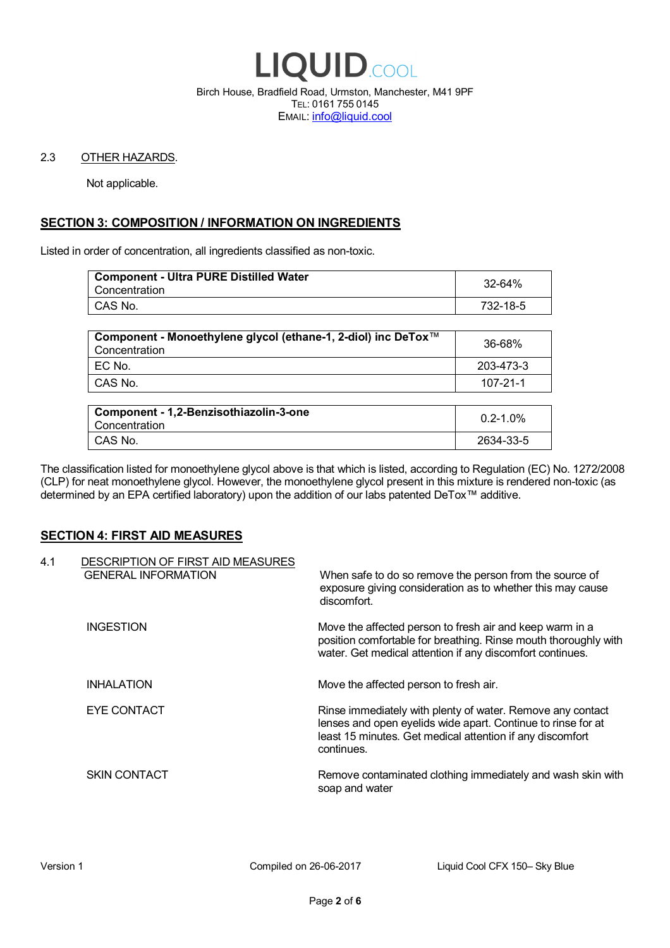

Birch House, Bradfield Road, Urmston, Manchester, M41 9PF TEL: 0161 755 0145 EMAIL: info@liquid.cool

### 2.3 OTHER HAZARDS.

Not applicable.

# **SECTION 3: COMPOSITION / INFORMATION ON INGREDIENTS**

Listed in order of concentration, all ingredients classified as non-toxic.

| <b>Component - Ultra PURE Distilled Water</b><br>Concentration | 32-64%   |
|----------------------------------------------------------------|----------|
| CAS No.                                                        | 732-18-5 |
|                                                                |          |

| Component - Monoethylene glycol (ethane-1, 2-diol) inc DeTox™<br>Concentration | 36-68%    |
|--------------------------------------------------------------------------------|-----------|
| ' EC No.                                                                       | 203-473-3 |
| ∣ CAS No.                                                                      | 107-21-1  |

| Component - 1,2-Benzisothiazolin-3-one<br>Concentration | $0.2 - 1.0\%$ |
|---------------------------------------------------------|---------------|
| CAS No.                                                 | 2634-33-5     |

The classification listed for monoethylene glycol above is that which is listed, according to Regulation (EC) No. 1272/2008 (CLP) for neat monoethylene glycol. However, the monoethylene glycol present in this mixture is rendered non-toxic (as determined by an EPA certified laboratory) upon the addition of our labs patented DeTox™ additive.

### **SECTION 4: FIRST AID MEASURES**

| 4.1 | DESCRIPTION OF FIRST AID MEASURES<br><b>GENERAL INFORMATION</b> | When safe to do so remove the person from the source of<br>exposure giving consideration as to whether this may cause<br>discomfort.                                                                  |
|-----|-----------------------------------------------------------------|-------------------------------------------------------------------------------------------------------------------------------------------------------------------------------------------------------|
|     | <b>INGESTION</b>                                                | Move the affected person to fresh air and keep warm in a<br>position comfortable for breathing. Rinse mouth thoroughly with<br>water. Get medical attention if any discomfort continues.              |
|     | <b>INHALATION</b>                                               | Move the affected person to fresh air.                                                                                                                                                                |
|     | EYE CONTACT                                                     | Rinse immediately with plenty of water. Remove any contact<br>lenses and open eyelids wide apart. Continue to rinse for at<br>least 15 minutes. Get medical attention if any discomfort<br>continues. |
|     | <b>SKIN CONTACT</b>                                             | Remove contaminated clothing immediately and wash skin with<br>soap and water                                                                                                                         |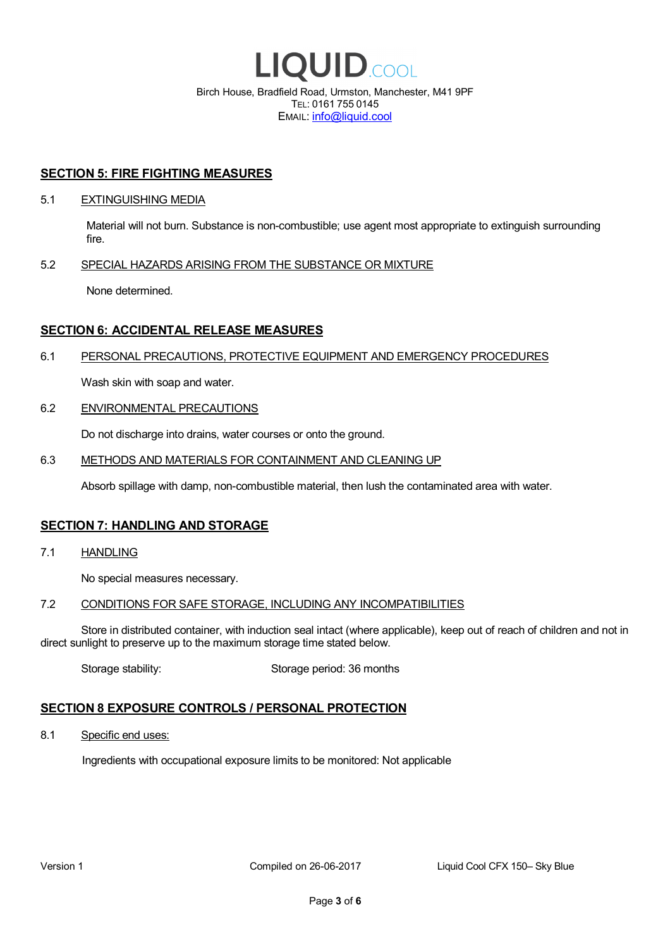

EMAIL: info@liquid.cool

### **SECTION 5: FIRE FIGHTING MEASURES**

### 5.1 EXTINGUISHING MEDIA

Material will not burn. Substance is non-combustible; use agent most appropriate to extinguish surrounding fire.

### 5.2 SPECIAL HAZARDS ARISING FROM THE SUBSTANCE OR MIXTURE

None determined.

## **SECTION 6: ACCIDENTAL RELEASE MEASURES**

### 6.1 PERSONAL PRECAUTIONS, PROTECTIVE EQUIPMENT AND EMERGENCY PROCEDURES

Wash skin with soap and water.

### 6.2 ENVIRONMENTAL PRECAUTIONS

Do not discharge into drains, water courses or onto the ground.

### 6.3 METHODS AND MATERIALS FOR CONTAINMENT AND CLEANING UP

Absorb spillage with damp, non-combustible material, then lush the contaminated area with water.

### **SECTION 7: HANDLING AND STORAGE**

7.1 HANDLING

No special measures necessary.

### 7.2 CONDITIONS FOR SAFE STORAGE, INCLUDING ANY INCOMPATIBILITIES

Store in distributed container, with induction seal intact (where applicable), keep out of reach of children and not in direct sunlight to preserve up to the maximum storage time stated below.

Storage stability: Storage period: 36 months

# **SECTION 8 EXPOSURE CONTROLS / PERSONAL PROTECTION**

8.1 Specific end uses:

Ingredients with occupational exposure limits to be monitored: Not applicable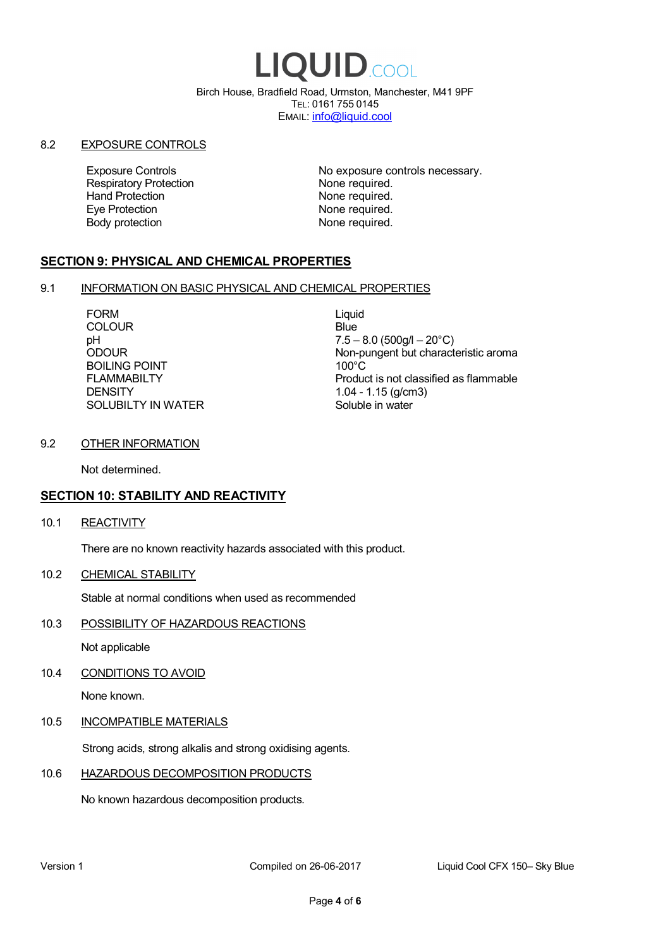# LIQUID.COOL

Birch House, Bradfield Road, Urmston, Manchester, M41 9PF TEL: 0161 755 0145 EMAIL: info@liquid.cool

### 8.2 EXPOSURE CONTROLS

Respiratory Protection **None required.**<br>
Hand Protection **None required.** Eye Protection **None required.** Body protection None required.

Exposure Controls **Exposure Controls** No exposure controls necessary. None required.

# **SECTION 9: PHYSICAL AND CHEMICAL PROPERTIES**

### 9.1 INFORMATION ON BASIC PHYSICAL AND CHEMICAL PROPERTIES

FORM Liquid COLOUR Blue BOILING POINT FLAMMABILTY **DENSITY** SOLUBILTY IN WATER

pH<br>
DDOUR
20°C)
2000UR
2000UR
2000UR
2000UR Non-pungent but characteristic aroma 100°C Product is not classified as flammable 1.04 - 1.15 (g/cm3) Soluble in water

### 9.2 OTHER INFORMATION

Not determined.

# **SECTION 10: STABILITY AND REACTIVITY**

10.1 REACTIVITY

There are no known reactivity hazards associated with this product.

10.2 CHEMICAL STABILITY

Stable at normal conditions when used as recommended

10.3 POSSIBILITY OF HAZARDOUS REACTIONS

Not applicable

10.4 CONDITIONS TO AVOID

None known.

### 10.5 INCOMPATIBLE MATERIALS

Strong acids, strong alkalis and strong oxidising agents.

# 10.6 HAZARDOUS DECOMPOSITION PRODUCTS

No known hazardous decomposition products.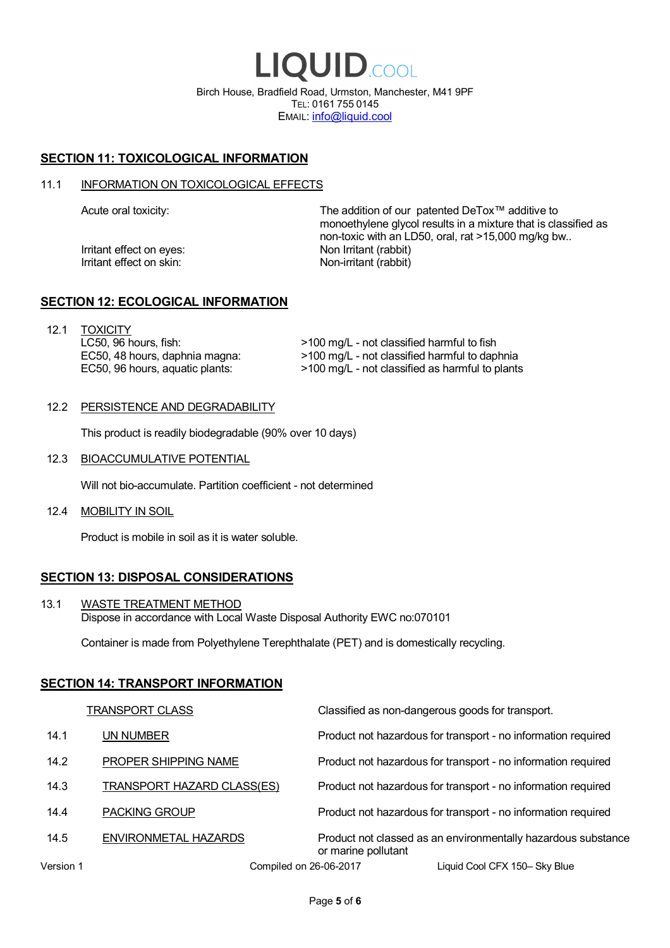LIQUID.COOL Birch House, Bradfield Road, Urmston, Manchester, M41 9PF TEL: 0161 755 0145 EMAIL: info@liquid.cool

# **SECTION 11: TOXICOLOGICAL INFORMATION**

### 11.1 INFORMATION ON TOXICOLOGICAL EFFECTS

Irritant effect on eves: Non Irritant (rabbit) Irritant effect on skin: Non-irritant (rabbit)

Acute oral toxicity: The addition of our patented DeTox™ additive to monoethylene glycol results in a mixture that is classified as non-toxic with an LD50, oral, rat >15,000 mg/kg bw..

### **SECTION 12: ECOLOGICAL INFORMATION**

12.1 TOXICITY LC50, 96 hours, fish: EC50, 48 hours, daphnia magna: EC50, 96 hours, aquatic plants:

>100 mg/L - not classified harmful to fish >100 mg/L - not classified harmful to daphnia >100 mg/L - not classified as harmful to plants

### 12.2 PERSISTENCE AND DEGRADABILITY

This product is readily biodegradable (90% over 10 days)

12.3 BIOACCUMULATIVE POTENTIAL

Will not bio-accumulate. Partition coefficient - not determined

12.4 MOBILITY IN SOIL

Product is mobile in soil as it is water soluble.

# **SECTION 13: DISPOSAL CONSIDERATIONS**

13.1 WASTE TREATMENT METHOD Dispose in accordance with Local Waste Disposal Authority EWC no:070101

Container is made from Polyethylene Terephthalate (PET) and is domestically recycling.

### **SECTION 14: TRANSPORT INFORMATION**

|           | <b>TRANSPORT CLASS</b>            | Classified as non-dangerous goods for transport.                                     |
|-----------|-----------------------------------|--------------------------------------------------------------------------------------|
| 14.1      | UN NUMBER                         | Product not hazardous for transport - no information required                        |
| 14.2      | PROPER SHIPPING NAME              | Product not hazardous for transport - no information required                        |
| 14.3      | <b>TRANSPORT HAZARD CLASS(ES)</b> | Product not hazardous for transport - no information required                        |
| 14.4      | <b>PACKING GROUP</b>              | Product not hazardous for transport - no information required                        |
| 14.5      | ENVIRONMETAL HAZARDS              | Product not classed as an environmentally hazardous substance<br>or marine pollutant |
| Version 1 | Compiled on 26-06-2017            | Liquid Cool CFX 150- Sky Blue                                                        |